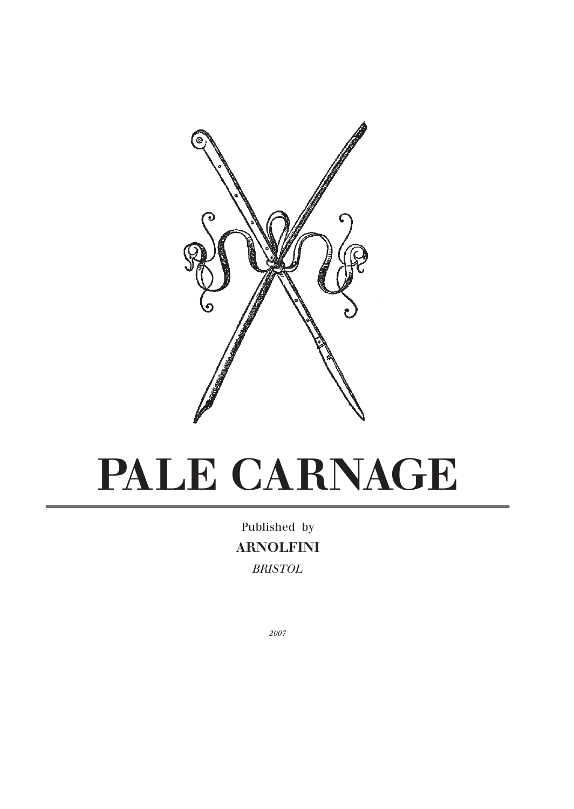

# **PALE CARNAGE**

Published by **ARNOLFINI** *BRISTOL*

*2007*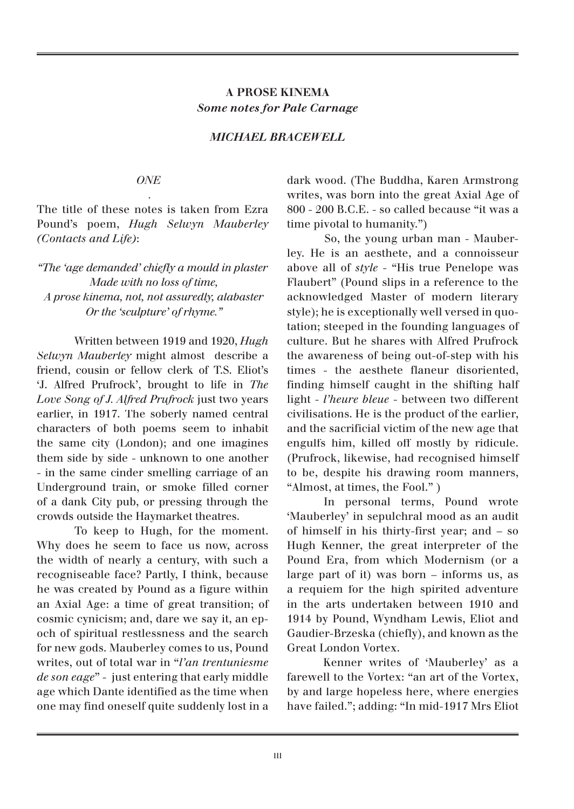# **A PROSE KINEMA** *Some notes for Pale Carnage*

# *MICHAEL BRACEWELL*

#### *ONE*

 *.*

The title of these notes is taken from Ezra Pound's poem, *Hugh Selwyn Mauberley (Contacts and Life)*:

*"The 'age demanded' chiefl y a mould in plaster Made with no loss of time, A prose kinema, not, not assuredly, alabaster Or the 'sculpture' of rhyme."*

 Written between 1919 and 1920, *Hugh Selwyn Mauberley* might almost describe a friend, cousin or fellow clerk of T.S. Eliot's 'J. Alfred Prufrock', brought to life in *The Love Song of J. Alfred Prufrock* just two years earlier, in 1917. The soberly named central characters of both poems seem to inhabit the same city (London); and one imagines them side by side - unknown to one another - in the same cinder smelling carriage of an Underground train, or smoke filled corner of a dank City pub, or pressing through the crowds outside the Haymarket theatres.

 To keep to Hugh, for the moment. Why does he seem to face us now, across the width of nearly a century, with such a recogniseable face? Partly, I think, because he was created by Pound as a figure within an Axial Age: a time of great transition; of cosmic cynicism; and, dare we say it, an epoch of spiritual restlessness and the search for new gods. Mauberley comes to us, Pound writes, out of total war in "*l'an trentuniesme de son eage*" - just entering that early middle age which Dante identified as the time when one may find oneself quite suddenly lost in a

dark wood. (The Buddha, Karen Armstrong writes, was born into the great Axial Age of 800 - 200 B.C.E. - so called because "it was a time pivotal to humanity.")

 So, the young urban man - Mauberley. He is an aesthete, and a connoisseur above all of *style* - "His true Penelope was Flaubert" (Pound slips in a reference to the acknowledged Master of modern literary style); he is exceptionally well versed in quotation; steeped in the founding languages of culture. But he shares with Alfred Prufrock the awareness of being out-of-step with his times - the aesthete flaneur disoriented, finding himself caught in the shifting half light - *l'heure bleue* - between two different civilisations. He is the product of the earlier, and the sacrificial victim of the new age that engulfs him, killed off mostly by ridicule. (Prufrock, likewise, had recognised himself to be, despite his drawing room manners, "Almost, at times, the Fool." )

 In personal terms, Pound wrote 'Mauberley' in sepulchral mood as an audit of himself in his thirty-first year; and - so Hugh Kenner, the great interpreter of the Pound Era, from which Modernism (or a large part of it) was born – informs us, as a requiem for the high spirited adventure in the arts undertaken between 1910 and 1914 by Pound, Wyndham Lewis, Eliot and Gaudier-Brzeska (chiefly), and known as the Great London Vortex.

 Kenner writes of 'Mauberley' as a farewell to the Vortex: "an art of the Vortex, by and large hopeless here, where energies have failed."; adding: "In mid-1917 Mrs Eliot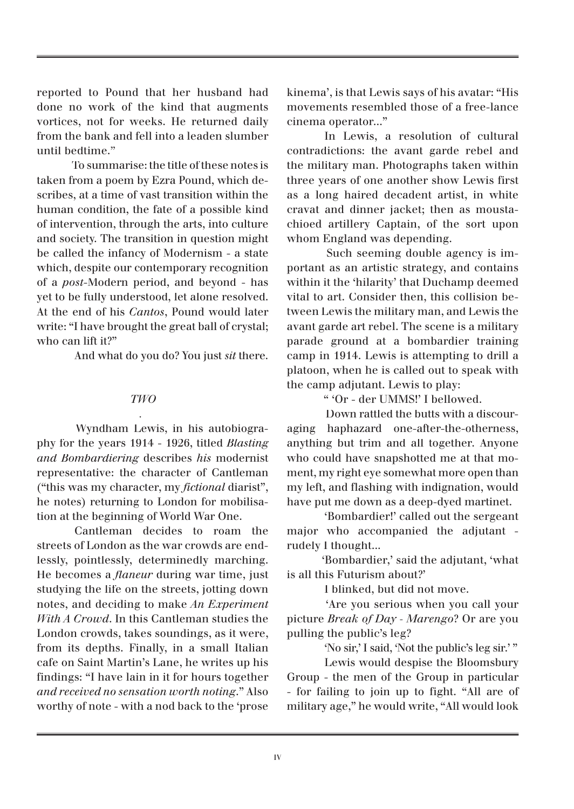reported to Pound that her husband had done no work of the kind that augments vortices, not for weeks. He returned daily from the bank and fell into a leaden slumber until bedtime."

 To summarise: the title of these notes is taken from a poem by Ezra Pound, which describes, at a time of vast transition within the human condition, the fate of a possible kind of intervention, through the arts, into culture and society. The transition in question might be called the infancy of Modernism - a state which, despite our contemporary recognition of a *post*-Modern period, and beyond - has yet to be fully understood, let alone resolved. At the end of his *Cantos*, Pound would later write: "I have brought the great ball of crystal; who can lift it?"

And what do you do? You just *sit* there.

### *TWO*

 *.*

 Wyndham Lewis, in his autobiography for the years 1914 - 1926, titled *Blasting and Bombardiering* describes *his* modernist representative: the character of Cantleman ("this was my character, my *fictional* diarist", he notes) returning to London for mobilisation at the beginning of World War One.

 Cantleman decides to roam the streets of London as the war crowds are endlessly, pointlessly, determinedly marching. He becomes a *flaneur* during war time, just studying the life on the streets, jotting down notes, and deciding to make *An Experiment With A Crowd*. In this Cantleman studies the London crowds, takes soundings, as it were, from its depths. Finally, in a small Italian cafe on Saint Martin's Lane, he writes up his findings: "I have lain in it for hours together *and received no sensation worth noting*." Also worthy of note - with a nod back to the 'prose kinema', is that Lewis says of his avatar: "His movements resembled those of a free-lance cinema operator..."

 In Lewis, a resolution of cultural contradictions: the avant garde rebel and the military man. Photographs taken within three years of one another show Lewis first as a long haired decadent artist, in white cravat and dinner jacket; then as moustachioed artillery Captain, of the sort upon whom England was depending.

 Such seeming double agency is important as an artistic strategy, and contains within it the 'hilarity' that Duchamp deemed vital to art. Consider then, this collision between Lewis the military man, and Lewis the avant garde art rebel. The scene is a military parade ground at a bombardier training camp in 1914. Lewis is attempting to drill a platoon, when he is called out to speak with the camp adjutant. Lewis to play:

" 'Or - der UMMS!' I bellowed.

 Down rattled the butts with a discouraging haphazard one-after-the-otherness, anything but trim and all together. Anyone who could have snapshotted me at that moment, my right eye somewhat more open than my left, and flashing with indignation, would have put me down as a deep-dyed martinet.

 'Bombardier!' called out the sergeant major who accompanied the adjutant rudely I thought...

 'Bombardier,' said the adjutant, 'what is all this Futurism about?'

I blinked, but did not move.

 'Are you serious when you call your picture *Break of Day - Marengo*? Or are you pulling the public's leg?

'No sir,' I said, 'Not the public's leg sir.' "

 Lewis would despise the Bloomsbury Group - the men of the Group in particular - for failing to join up to fight. "All are of military age," he would write, "All would look